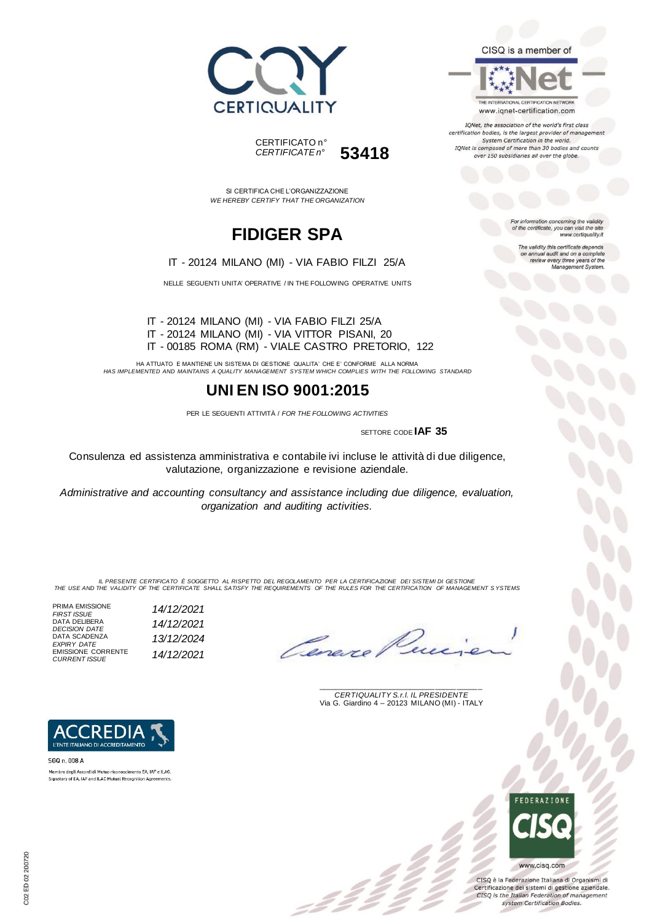



SI CERTIFICA CHE L'ORGANIZZAZIONE *WE HEREBY CERTIFY THAT THE ORGANIZATION*

# **FIDIGER SPA**



NELLE SEGUENTI UNITA' OPERATIVE / IN THE FOLLOWING OPERATIVE UNITS

IT - 20124 MILANO (MI) - VIA FABIO FILZI 25/A IT - 20124 MILANO (MI) - VIA VITTOR PISANI, 20 IT - 00185 ROMA (RM) - VIALE CASTRO PRETORIO, 122

HA ATTUATO E MANTIENE UN SISTEMA DI GESTIONE QUALITA' CHE E' CONFORME ALLA NORMA *HAS IMPLEMENTED AND MAINTAINS A QUALITY MANAGEMENT SYSTEM WHICH COMPLIES WITH THE FOLLOWING STANDARD*

## **UNI EN ISO 9001:2015**

PER LE SEGUENTI ATTIVITÀ / *FOR THE FOLLOWING ACTIVITIES*

SETTORE CODE **IAF 35**

Consulenza ed assistenza amministrativa e contabile ivi incluse le attività di due diligence, valutazione, organizzazione e revisione aziendale.

*Administrative and accounting consultancy and assistance including due diligence, evaluation, organization and auditing activities.*

*IL PRESENTE CERTIFICATO È SOGGETTO AL RISPETTO DEL REGOLAMENTO PER LA CERTIFICAZIONE DEI SISTEMI DI GESTIONE THE USE AND THE VALIDITY OF THE CERTIFICATE SHALL SATISFY THE REQUIREMENTS OF THE RULES FOR THE CERTIFICATION OF MANAGEMENT S YSTEMS*

 $\mathcal{L}$ 

PRIMA EMISSIONE *FIRST ISSUE 14/12/2021* DATA DELIBERA *DECISION DATE 14/12/2021* DATA SCADENZA *EXPIRY DATE 13/12/2024* EMISSIONE CORRENTE *CURRENT ISSUE 14/12/2021*

Lenes

\_\_\_\_\_\_\_\_\_\_\_\_\_\_\_\_\_\_\_\_\_\_\_\_\_\_\_\_\_\_\_\_\_\_\_\_\_\_\_ *CERTIQUALITY S.r.l. IL PRESIDENTE* Via G. Giardino 4 – 20123 MILANO (MI) - ITALY



CISQ è la Federazione Italiana di Organismi di Certificazione dei sistemi di gestione aziendale. CISQ is the Italian Federation of management system Certification Bodies.



REDI: L'ENTE ITALIANO DI ACCREDITAMENTO



Membro degli Accordi di Mutuo riconoscimento EA, IAF e ILAC. Signatory of EA, IAF and ILAC Mutual Recognition Agreements

CISQ is a member of



IQNet, the association of the world's first class certification bodies, is the largest provider of management System Certification in the world. IQNet is composed of more than 30 bodies and counts over 150 subsidiaries all over the globe.

> For information concerning the validity<br>of the certificate, you can visit the site www.certiquality.it

> > The validity this certificate depends on annual audit and on a complete<br>review every three years of the<br>Management System.